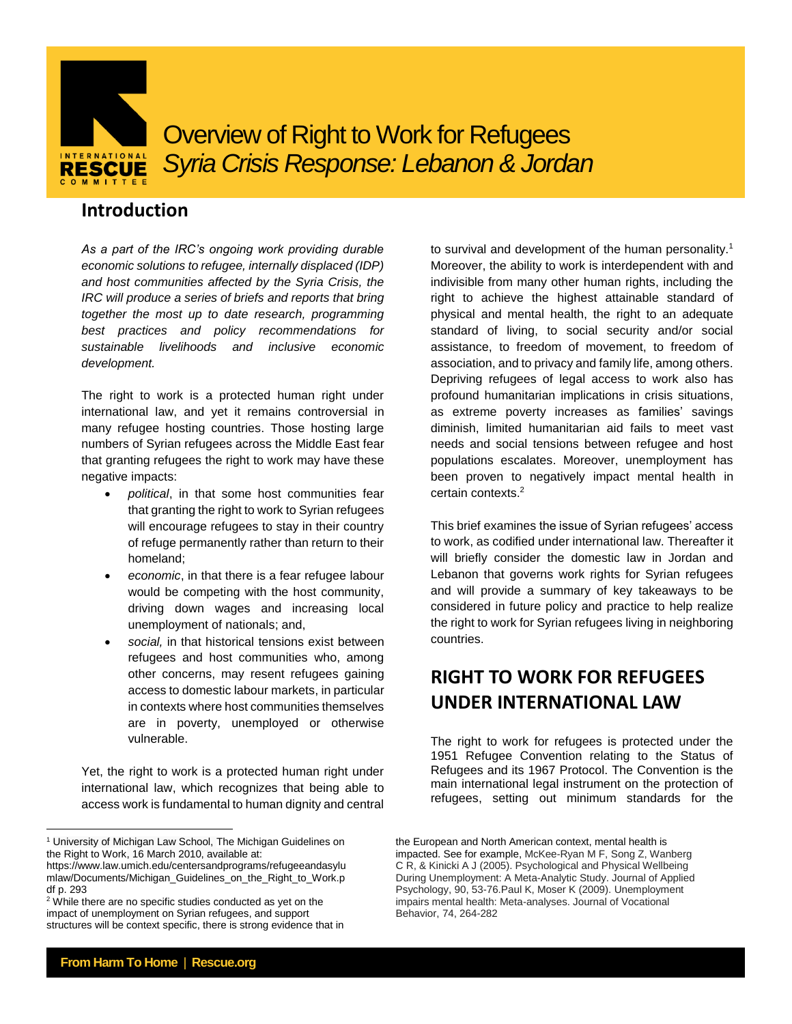

# Overview of Right to Work for Refugees *Syria Crisis Response: Lebanon & Jordan*

### **Introduction**

*As a part of the IRC's ongoing work providing durable economic solutions to refugee, internally displaced (IDP) and host communities affected by the Syria Crisis, the IRC will produce a series of briefs and reports that bring together the most up to date research, programming best practices and policy recommendations for sustainable livelihoods and inclusive economic development.* 

The right to work is a protected human right under international law, and yet it remains controversial in many refugee hosting countries. Those hosting large numbers of Syrian refugees across the Middle East fear that granting refugees the right to work may have these negative impacts:

- *political*, in that some host communities fear that granting the right to work to Syrian refugees will encourage refugees to stay in their country of refuge permanently rather than return to their homeland;
- *economic*, in that there is a fear refugee labour would be competing with the host community, driving down wages and increasing local unemployment of nationals; and,
- *social,* in that historical tensions exist between refugees and host communities who, among other concerns, may resent refugees gaining access to domestic labour markets, in particular in contexts where host communities themselves are in poverty, unemployed or otherwise vulnerable.

Yet, the right to work is a protected human right under international law, which recognizes that being able to access work is fundamental to human dignity and central

to survival and development of the human personality.<sup>1</sup> Moreover, the ability to work is interdependent with and indivisible from many other human rights, including the right to achieve the highest attainable standard of physical and mental health, the right to an adequate standard of living, to social security and/or social assistance, to freedom of movement, to freedom of association, and to privacy and family life, among others. Depriving refugees of legal access to work also has profound humanitarian implications in crisis situations, as extreme poverty increases as families' savings diminish, limited humanitarian aid fails to meet vast needs and social tensions between refugee and host populations escalates. Moreover, unemployment has been proven to negatively impact mental health in certain contexts. 2

This brief examines the issue of Syrian refugees' access to work, as codified under international law. Thereafter it will briefly consider the domestic law in Jordan and Lebanon that governs work rights for Syrian refugees and will provide a summary of key takeaways to be considered in future policy and practice to help realize the right to work for Syrian refugees living in neighboring countries.

## **RIGHT TO WORK FOR REFUGEES UNDER INTERNATIONAL LAW**

The right to work for refugees is protected under the 1951 Refugee Convention relating to the Status of Refugees and its 1967 Protocol. The Convention is the main international legal instrument on the protection of refugees, setting out minimum standards for the

l

<sup>&</sup>lt;sup>1</sup> University of Michigan Law School, The Michigan Guidelines on the Right to Work, 16 March 2010, available at:

https://www.law.umich.edu/centersandprograms/refugeeandasylu mlaw/Documents/Michigan\_Guidelines\_on\_the\_Right\_to\_Work.p df p. 293

<sup>&</sup>lt;sup>2</sup> While there are no specific studies conducted as yet on the impact of unemployment on Syrian refugees, and support structures will be context specific, there is strong evidence that in

the European and North American context, mental health is impacted. See for example, McKee-Ryan M F, Song Z, Wanberg C R, & Kinicki A J (2005). Psychological and Physical Wellbeing During Unemployment: A Meta-Analytic Study. Journal of Applied Psychology, 90, 53-76.Paul K, Moser K (2009). Unemployment impairs mental health: Meta-analyses. Journal of Vocational Behavior, 74, 264-282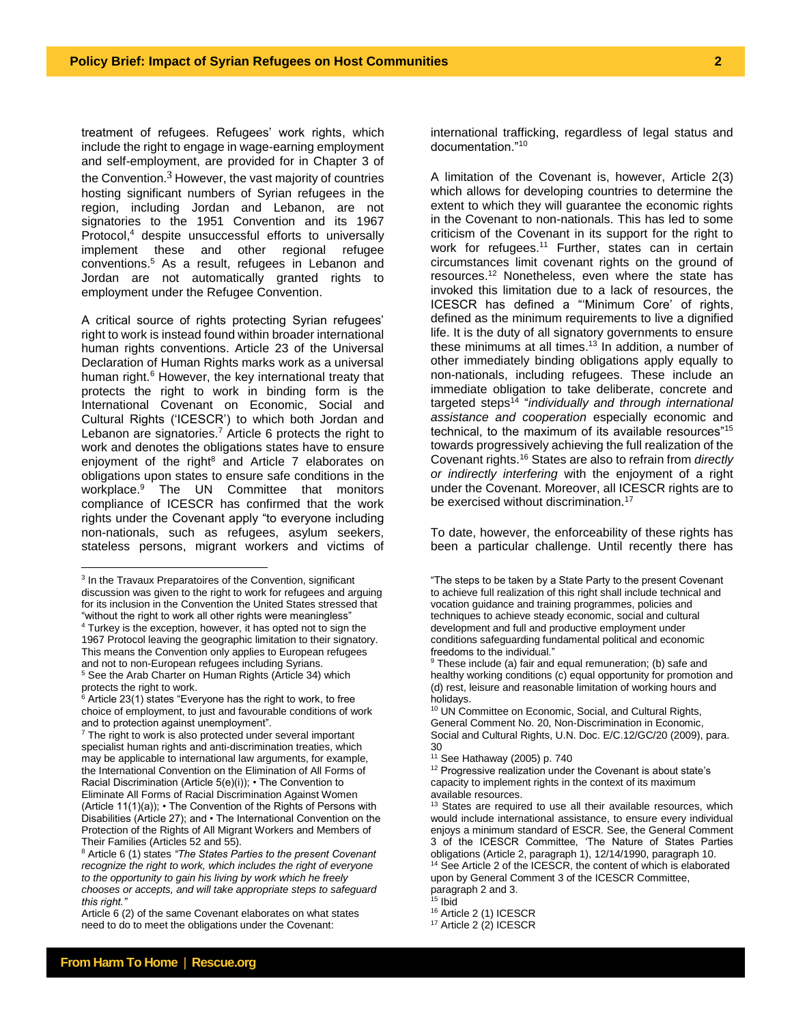treatment of refugees. Refugees' work rights, which include the right to engage in wage-earning employment and self-employment, are provided for in Chapter 3 of the Convention. $3$  However, the vast majority of countries hosting significant numbers of Syrian refugees in the region, including Jordan and Lebanon, are not signatories to the 1951 Convention and its 1967 Protocol, <sup>4</sup> despite unsuccessful efforts to universally implement these and other regional refugee conventions.<sup>5</sup> As a result, refugees in Lebanon and Jordan are not automatically granted rights to employment under the Refugee Convention.

A critical source of rights protecting Syrian refugees' right to work is instead found within broader international human rights conventions. Article 23 of the Universal Declaration of Human Rights marks work as a universal human right.<sup>6</sup> However, the key international treaty that protects the right to work in binding form is the International Covenant on Economic, Social and Cultural Rights ('ICESCR') to which both Jordan and Lebanon are signatories.<sup>7</sup> Article 6 protects the right to work and denotes the obligations states have to ensure enjoyment of the right<sup>8</sup> and Article 7 elaborates on obligations upon states to ensure safe conditions in the workplace. <sup>9</sup> The UN Committee that monitors compliance of ICESCR has confirmed that the work rights under the Covenant apply "to everyone including non-nationals, such as refugees, asylum seekers, stateless persons, migrant workers and victims of

Article 6 (2) of the same Covenant elaborates on what states need to do to meet the obligations under the Covenant:

international trafficking, regardless of legal status and documentation."<sup>10</sup>

A limitation of the Covenant is, however, Article 2(3) which allows for developing countries to determine the extent to which they will guarantee the economic rights in the Covenant to non-nationals. This has led to some criticism of the Covenant in its support for the right to work for refugees.<sup>11</sup> Further, states can in certain circumstances limit covenant rights on the ground of resources.<sup>12</sup> Nonetheless, even where the state has invoked this limitation due to a lack of resources, the ICESCR has defined a "'Minimum Core' of rights, defined as the minimum requirements to live a dignified life. It is the duty of all signatory governments to ensure these minimums at all times. <sup>13</sup> In addition, a number of other immediately binding obligations apply equally to non-nationals, including refugees. These include an immediate obligation to take deliberate, concrete and targeted steps<sup>14</sup> "*individually and through international assistance and cooperation* especially economic and technical, to the maximum of its available resources"<sup>15</sup> towards progressively achieving the full realization of the Covenant rights.<sup>16</sup> States are also to refrain from *directly or indirectly interfering* with the enjoyment of a right under the Covenant. Moreover, all ICESCR rights are to be exercised without discrimination.<sup>17</sup>

To date, however, the enforceability of these rights has been a particular challenge. Until recently there has

 $\overline{a}$ <sup>3</sup> In the Travaux Preparatoires of the Convention, significant discussion was given to the right to work for refugees and arguing for its inclusion in the Convention the United States stressed that "without the right to work all other rights were meaningless" <sup>4</sup> Turkey is the exception, however, it has opted not to sign the 1967 Protocol leaving the geographic limitation to their signatory.

This means the Convention only applies to European refugees and not to non-European refugees including Syrians. <sup>5</sup> See the Arab Charter on Human Rights (Article 34) which

protects the right to work.  $6$  Article 23(1) states "Everyone has the right to work, to free

choice of employment, to just and favourable conditions of work and to protection against unemployment".

 $7$  The right to work is also protected under several important specialist human rights and anti-discrimination treaties, which may be applicable to international law arguments, for example, the International Convention on the Elimination of All Forms of Racial Discrimination (Article 5(e)(i)); • The Convention to Eliminate All Forms of Racial Discrimination Against Women (Article 11(1)(a)); • The Convention of the Rights of Persons with Disabilities (Article 27); and • The International Convention on the Protection of the Rights of All Migrant Workers and Members of Their Families (Articles 52 and 55).

<sup>8</sup> Article 6 (1) states *"The States Parties to the present Covenant recognize the right to work, which includes the right of everyone to the opportunity to gain his living by work which he freely chooses or accepts, and will take appropriate steps to safeguard this right."*

<sup>&</sup>quot;The steps to be taken by a State Party to the present Covenant to achieve full realization of this right shall include technical and vocation guidance and training programmes, policies and techniques to achieve steady economic, social and cultural development and full and productive employment under conditions safeguarding fundamental political and economic freedoms to the individual."

<sup>&</sup>lt;sup>9</sup> These include (a) fair and equal remuneration; (b) safe and healthy working conditions (c) equal opportunity for promotion and (d) rest, leisure and reasonable limitation of working hours and holidays.

<sup>10</sup> UN Committee on Economic, Social, and Cultural Rights, General Comment No. 20, Non-Discrimination in Economic, Social and Cultural Rights, U.N. Doc. E/C.12/GC/20 (2009), para. 30

<sup>11</sup> See Hathaway (2005) p. 740

<sup>&</sup>lt;sup>12</sup> Progressive realization under the Covenant is about state's capacity to implement rights in the context of its maximum available resources.

 $13$  States are required to use all their available resources, which would include international assistance, to ensure every individual enjoys a minimum standard of ESCR. See, the General Comment 3 of the ICESCR Committee, 'The Nature of States Parties obligations (Article 2, paragraph 1), 12/14/1990, paragraph 10. <sup>14</sup> See Article 2 of the ICESCR, the content of which is elaborated upon by General Comment 3 of the ICESCR Committee,

paragraph 2 and 3.

 $15$  Ibid

<sup>16</sup> Article 2 (1) ICESCR

<sup>&</sup>lt;sup>17</sup> Article 2 (2) ICESCR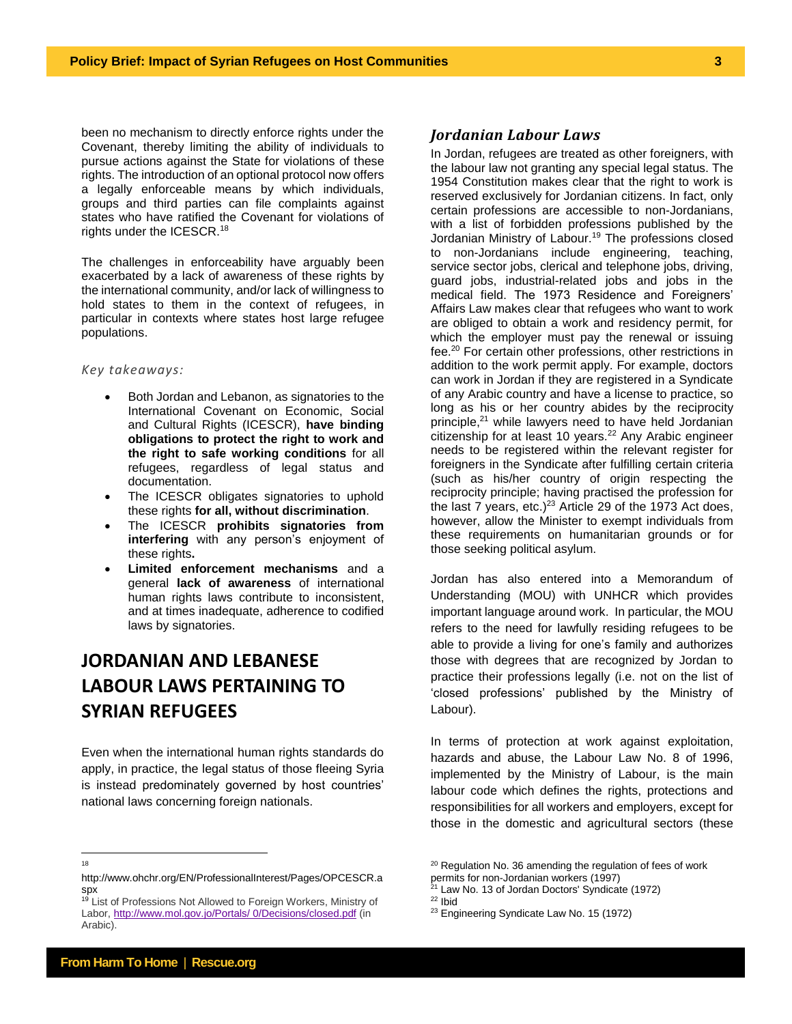been no mechanism to directly enforce rights under the Covenant, thereby limiting the ability of individuals to pursue actions against the State for violations of these rights. The introduction of an optional protocol now offers a legally enforceable means by which individuals, groups and third parties can file complaints against states who have ratified the Covenant for violations of rights under the ICESCR.<sup>18</sup>

The challenges in enforceability have arguably been exacerbated by a lack of awareness of these rights by the international community, and/or lack of willingness to hold states to them in the context of refugees, in particular in contexts where states host large refugee populations.

#### *Key takeaways:*

- Both Jordan and Lebanon, as signatories to the International Covenant on Economic, Social and Cultural Rights (ICESCR), **have binding obligations to protect the right to work and the right to safe working conditions** for all refugees, regardless of legal status and documentation.
- The ICESCR obligates signatories to uphold these rights **for all, without discrimination**.
- The ICESCR **prohibits signatories from interfering** with any person's enjoyment of these rights**.**
- **Limited enforcement mechanisms** and a general **lack of awareness** of international human rights laws contribute to inconsistent, and at times inadequate, adherence to codified laws by signatories.

# **JORDANIAN AND LEBANESE LABOUR LAWS PERTAINING TO SYRIAN REFUGEES**

Even when the international human rights standards do apply, in practice, the legal status of those fleeing Syria is instead predominately governed by host countries' national laws concerning foreign nationals.

#### *Jordanian Labour Laws*

In Jordan, refugees are treated as other foreigners, with the labour law not granting any special legal status. The 1954 Constitution makes clear that the right to work is reserved exclusively for Jordanian citizens. In fact, only certain professions are accessible to non-Jordanians, with a list of forbidden professions published by the Jordanian Ministry of Labour.<sup>19</sup> The professions closed to non-Jordanians include engineering, teaching, service sector jobs, clerical and telephone jobs, driving, guard jobs, industrial-related jobs and jobs in the medical field. The 1973 Residence and Foreigners' Affairs Law makes clear that refugees who want to work are obliged to obtain a work and residency permit, for which the employer must pay the renewal or issuing fee.<sup>20</sup> For certain other professions, other restrictions in addition to the work permit apply. For example, doctors can work in Jordan if they are registered in a Syndicate of any Arabic country and have a license to practice, so long as his or her country abides by the reciprocity principle, <sup>21</sup> while lawyers need to have held Jordanian citizenship for at least 10 years.<sup>22</sup> Any Arabic engineer needs to be registered within the relevant register for foreigners in the Syndicate after fulfilling certain criteria (such as his/her country of origin respecting the reciprocity principle; having practised the profession for the last 7 years, etc.) $23$  Article 29 of the 1973 Act does, however, allow the Minister to exempt individuals from these requirements on humanitarian grounds or for those seeking political asylum.

Jordan has also entered into a Memorandum of Understanding (MOU) with UNHCR which provides important language around work. In particular, the MOU refers to the need for lawfully residing refugees to be able to provide a living for one's family and authorizes those with degrees that are recognized by Jordan to practice their professions legally (i.e. not on the list of 'closed professions' published by the Ministry of Labour).

In terms of protection at work against exploitation, hazards and abuse, the Labour Law No. 8 of 1996, implemented by the Ministry of Labour, is the main labour code which defines the rights, protections and responsibilities for all workers and employers, except for those in the domestic and agricultural sectors (these

<sup>21</sup> Law No. 13 of Jordan Doctors' Syndicate (1972)

 $\overline{a}$ 18

http://www.ohchr.org/EN/ProfessionalInterest/Pages/OPCESCR.a spx

<sup>&</sup>lt;sup>19</sup> List of Professions Not Allowed to Foreign Workers, Ministry of Labor, [http://www.mol.gov.jo/Portals/](http://www.mol.gov.jo/Portals/0/Decisions/closed.pdf) 0/Decisions/closed.pdf (in Arabic).

<sup>&</sup>lt;sup>20</sup> Regulation No. 36 amending the regulation of fees of work permits for non-Jordanian workers (1997)

<sup>22</sup> Ibid

<sup>&</sup>lt;sup>23</sup> Engineering Syndicate Law No. 15 (1972)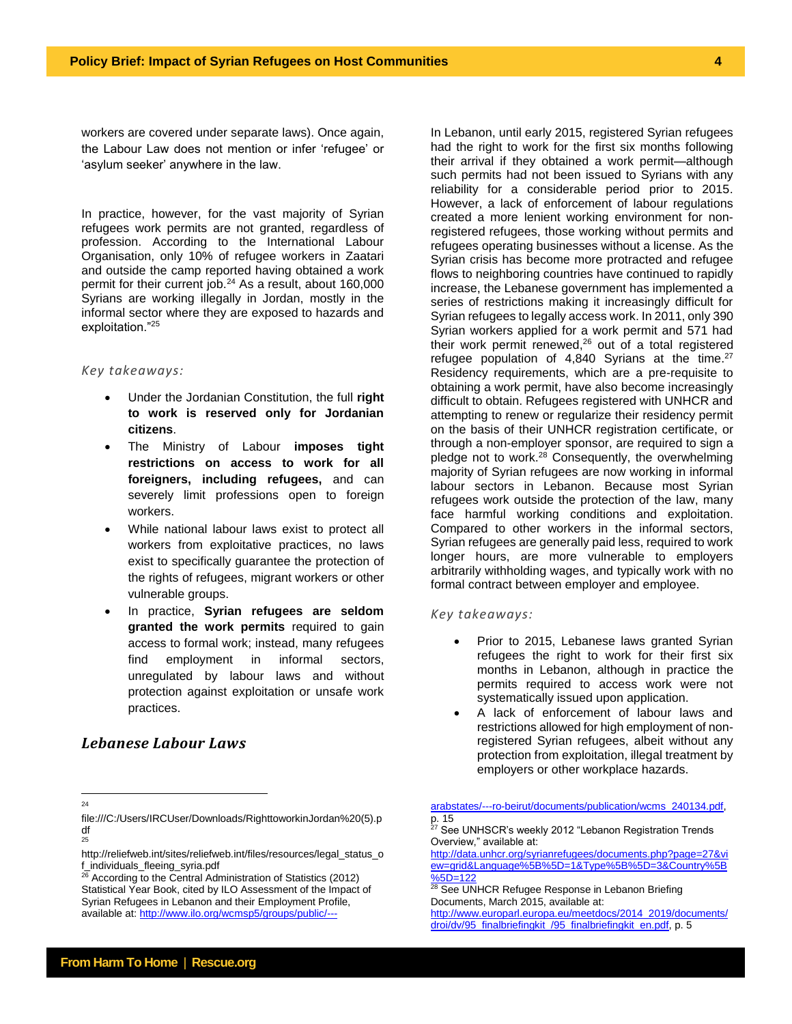workers are covered under separate laws). Once again, the Labour Law does not mention or infer 'refugee' or 'asylum seeker' anywhere in the law.

In practice, however, for the vast majority of Syrian refugees work permits are not granted, regardless of profession. According to the International Labour Organisation, only 10% of refugee workers in Zaatari and outside the camp reported having obtained a work permit for their current job.<sup>24</sup> As a result, about 160,000 Syrians are working illegally in Jordan, mostly in the informal sector where they are exposed to hazards and exploitation."<sup>25</sup>

#### *Key takeaways:*

- Under the Jordanian Constitution, the full **right to work is reserved only for Jordanian citizens**.
- The Ministry of Labour **imposes tight restrictions on access to work for all foreigners, including refugees,** and can severely limit professions open to foreign workers.
- While national labour laws exist to protect all workers from exploitative practices, no laws exist to specifically guarantee the protection of the rights of refugees, migrant workers or other vulnerable groups.
- In practice, **Syrian refugees are seldom granted the work permits** required to gain access to formal work; instead, many refugees find employment in informal sectors, unregulated by labour laws and without protection against exploitation or unsafe work practices.

#### *Lebanese Labour Laws*

had the right to work for the first six months following their arrival if they obtained a work permit—although such permits had not been issued to Syrians with any reliability for a considerable period prior to 2015. However, a lack of enforcement of labour regulations created a more lenient working environment for nonregistered refugees, those working without permits and refugees operating businesses without a license. As the Syrian crisis has become more protracted and refugee flows to neighboring countries have continued to rapidly increase, the Lebanese government has implemented a series of restrictions making it increasingly difficult for Syrian refugees to legally access work. In 2011, only 390 Syrian workers applied for a work permit and 571 had their work permit renewed, <sup>26</sup> out of a total registered refugee population of 4,840 Syrians at the time. $27$ Residency requirements, which are a pre-requisite to obtaining a work permit, have also become increasingly difficult to obtain. Refugees registered with UNHCR and attempting to renew or regularize their residency permit on the basis of their UNHCR registration certificate, or through a non-employer sponsor, are required to sign a pledge not to work.<sup>28</sup> Consequently, the overwhelming majority of Syrian refugees are now working in informal labour sectors in Lebanon. Because most Syrian refugees work outside the protection of the law, many face harmful working conditions and exploitation. Compared to other workers in the informal sectors, Syrian refugees are generally paid less, required to work longer hours, are more vulnerable to employers arbitrarily withholding wages, and typically work with no formal contract between employer and employee.

In Lebanon, until early 2015, registered Syrian refugees

#### *Key takeaways:*

- Prior to 2015, Lebanese laws granted Syrian refugees the right to work for their first six months in Lebanon, although in practice the permits required to access work were not systematically issued upon application.
- A lack of enforcement of labour laws and restrictions allowed for high employment of nonregistered Syrian refugees, albeit without any protection from exploitation, illegal treatment by employers or other workplace hazards.

 $26$  According to the Central Administration of Statistics (2012) Statistical Year Book, cited by ILO Assessment of the Impact of Syrian Refugees in Lebanon and their Employment Profile, available at: [http://www.ilo.org/wcmsp5/groups/public/---](http://www.ilo.org/wcmsp5/groups/public/---arabstates/---ro-beirut/documents/publication/wcms_240134.pdf)

 $\frac{1}{24}$ 

file:///C:/Users/IRCUser/Downloads/RighttoworkinJordan%20(5).p df 25

http://reliefweb.int/sites/reliefweb.int/files/resources/legal\_status\_o f\_individuals\_fleeing\_syria.pdf

[arabstates/---ro-beirut/documents/publication/wcms\\_240134.pdf,](http://www.ilo.org/wcmsp5/groups/public/---arabstates/---ro-beirut/documents/publication/wcms_240134.pdf)  p. 15

<sup>&</sup>lt;sup>27</sup> See UNHSCR's weekly 2012 "Lebanon Registration Trends Overview," available at:

[http://data.unhcr.org/syrianrefugees/documents.php?page=27&vi](http://data.unhcr.org/syrianrefugees/documents.php?page=27&view=grid&Language%5B%5D=1&Type%5B%5D=3&Country%5B%5D=122) [ew=grid&Language%5B%5D=1&Type%5B%5D=3&Country%5B](http://data.unhcr.org/syrianrefugees/documents.php?page=27&view=grid&Language%5B%5D=1&Type%5B%5D=3&Country%5B%5D=122) [%5D=122](http://data.unhcr.org/syrianrefugees/documents.php?page=27&view=grid&Language%5B%5D=1&Type%5B%5D=3&Country%5B%5D=122)

<sup>&</sup>lt;sup>28</sup> See UNHCR Refugee Response in Lebanon Briefing Documents, March 2015, available at:

[http://www.europarl.europa.eu/meetdocs/2014\\_2019/documents/](http://www.europarl.europa.eu/meetdocs/2014_2019/documents/droi/dv/95_finalbriefingkit_/95_finalbriefingkit_en.pdf) [droi/dv/95\\_finalbriefingkit\\_/95\\_finalbriefingkit\\_en.pdf,](http://www.europarl.europa.eu/meetdocs/2014_2019/documents/droi/dv/95_finalbriefingkit_/95_finalbriefingkit_en.pdf) p. 5